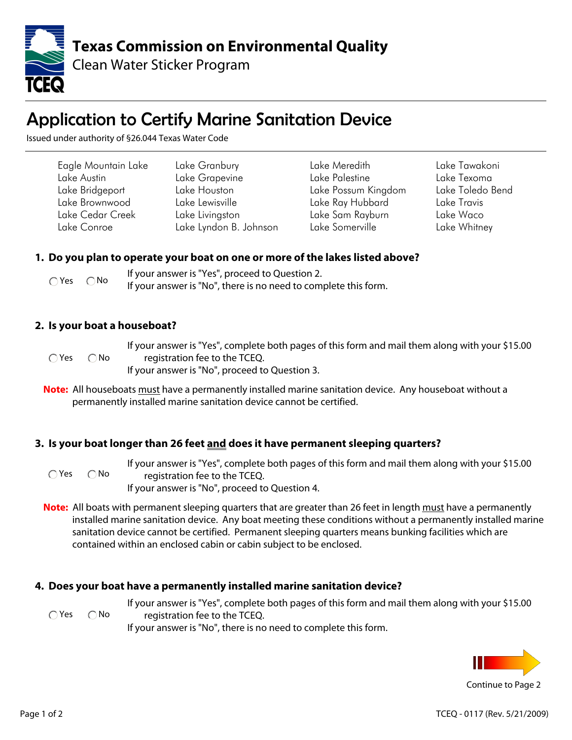

# Application to Certify Marine Sanitation Device

Issued under authority of §26.044 Texas Water Code

| Eagle Mountain Lake | Lake Granbury          | Lake Meredith       | Lake Tawakoni    |
|---------------------|------------------------|---------------------|------------------|
| Lake Austin         | Lake Grapevine         | Lake Palestine      | Lake Texoma      |
| Lake Bridgeport     | Lake Houston           | Lake Possum Kingdom | Lake Toledo Bend |
| Lake Brownwood      | Lake Lewisville        | Lake Ray Hubbard    | Lake Travis      |
| Lake Cedar Creek    | Lake Livingston        | Lake Sam Rayburn    | Lake Waco        |
| Lake Conroe         | Lake Lyndon B. Johnson | Lake Somerville     | Lake Whitney     |

### **1. Do you plan to operate your boat on one or more of the lakes listed above?**

| $\bigcap$ Yes $\bigcap$ No | If your answer is "Yes", proceed to Question 2. |
|----------------------------|-------------------------------------------------|
|                            |                                                 |

### **2. Is your boat a houseboat?**

 $\bigcap$  Yes  $\bigcap$  No

If your answer is "Yes", complete both pages of this form and mail them along with your \$15.00 registration fee to the TCEQ. If your answer is "No", proceed to Question 3.

If your answer is "Yes", complete both pages of this form and mail them along with your \$15.00

**Note:** All houseboats must have a permanently installed marine sanitation device. Any houseboat without a permanently installed marine sanitation device cannot be certified.

## **3. Is your boat longer than 26 feet and does it have permanent sleeping quarters?**

 $\bigcap$  Yes  $\bigcap$  No

registration fee to the TCEQ. If your answer is "No", proceed to Question 4.

**Note:** All boats with permanent sleeping quarters that are greater than 26 feet in length must have a permanently installed marine sanitation device. Any boat meeting these conditions without a permanently installed marine sanitation device cannot be certified. Permanent sleeping quarters means bunking facilities which are contained within an enclosed cabin or cabin subject to be enclosed.

### **4. Does your boat have a permanently installed marine sanitation device?**

 $\bigcap$ Yes  $\bigcap$ No

If your answer is "Yes", complete both pages of this form and mail them along with your \$15.00 registration fee to the TCEQ.

If your answer is "No", there is no need to complete this form.